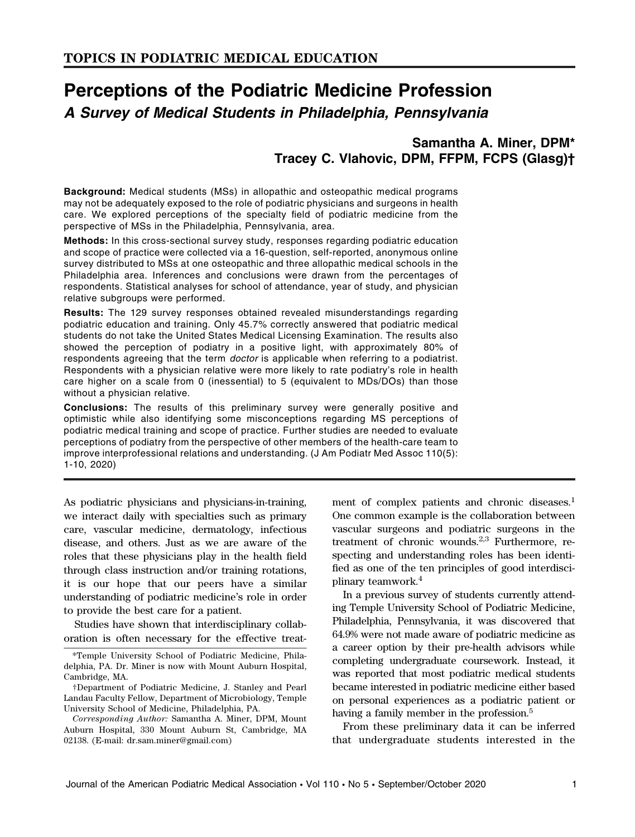# Perceptions of the Podiatric Medicine Profession A Survey of Medical Students in Philadelphia, Pennsylvania

## Samantha A. Miner, DPM\* Tracey C. Vlahovic, DPM, FFPM, FCPS (Glasg)†

Background: Medical students (MSs) in allopathic and osteopathic medical programs may not be adequately exposed to the role of podiatric physicians and surgeons in health care. We explored perceptions of the specialty field of podiatric medicine from the perspective of MSs in the Philadelphia, Pennsylvania, area.

Methods: In this cross-sectional survey study, responses regarding podiatric education and scope of practice were collected via a 16-question, self-reported, anonymous online survey distributed to MSs at one osteopathic and three allopathic medical schools in the Philadelphia area. Inferences and conclusions were drawn from the percentages of respondents. Statistical analyses for school of attendance, year of study, and physician relative subgroups were performed.

Results: The 129 survey responses obtained revealed misunderstandings regarding podiatric education and training. Only 45.7% correctly answered that podiatric medical students do not take the United States Medical Licensing Examination. The results also showed the perception of podiatry in a positive light, with approximately 80% of respondents agreeing that the term *doctor* is applicable when referring to a podiatrist. Respondents with a physician relative were more likely to rate podiatry's role in health care higher on a scale from 0 (inessential) to 5 (equivalent to MDs/DOs) than those without a physician relative.

Conclusions: The results of this preliminary survey were generally positive and optimistic while also identifying some misconceptions regarding MS perceptions of podiatric medical training and scope of practice. Further studies are needed to evaluate perceptions of podiatry from the perspective of other members of the health-care team to improve interprofessional relations and understanding. (J Am Podiatr Med Assoc 110(5): 1-10, 2020)

As podiatric physicians and physicians-in-training, we interact daily with specialties such as primary care, vascular medicine, dermatology, infectious disease, and others. Just as we are aware of the roles that these physicians play in the health field through class instruction and/or training rotations, it is our hope that our peers have a similar understanding of podiatric medicine's role in order to provide the best care for a patient.

Studies have shown that interdisciplinary collaboration is often necessary for the effective treat-

Corresponding Author: Samantha A. Miner, DPM, Mount Auburn Hospital, 330 Mount Auburn St, Cambridge, MA 02138. (E-mail: dr.sam.miner@gmail.com)

ment of complex patients and chronic diseases.<sup>1</sup> One common example is the collaboration between vascular surgeons and podiatric surgeons in the treatment of chronic wounds.<sup>2,3</sup> Furthermore, respecting and understanding roles has been identified as one of the ten principles of good interdisciplinary teamwork.<sup>4</sup>

In a previous survey of students currently attending Temple University School of Podiatric Medicine, Philadelphia, Pennsylvania, it was discovered that 64.9% were not made aware of podiatric medicine as a career option by their pre-health advisors while completing undergraduate coursework. Instead, it was reported that most podiatric medical students became interested in podiatric medicine either based on personal experiences as a podiatric patient or having a family member in the profession.<sup>5</sup>

From these preliminary data it can be inferred that undergraduate students interested in the

<sup>\*</sup>Temple University School of Podiatric Medicine, Philadelphia, PA. Dr. Miner is now with Mount Auburn Hospital, Cambridge, MA.

<sup>†</sup>Department of Podiatric Medicine, J. Stanley and Pearl Landau Faculty Fellow, Department of Microbiology, Temple University School of Medicine, Philadelphia, PA.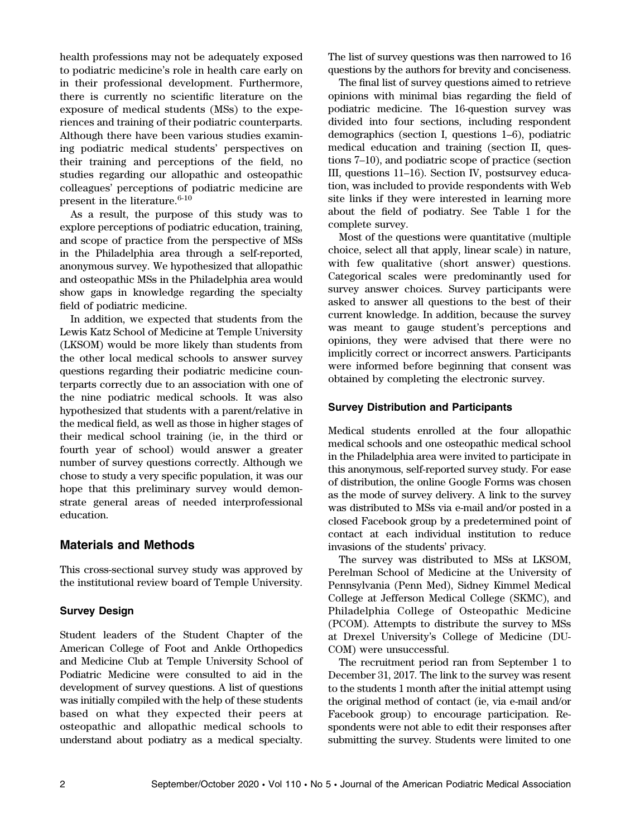health professions may not be adequately exposed to podiatric medicine's role in health care early on in their professional development. Furthermore, there is currently no scientific literature on the exposure of medical students (MSs) to the experiences and training of their podiatric counterparts. Although there have been various studies examining podiatric medical students' perspectives on their training and perceptions of the field, no studies regarding our allopathic and osteopathic colleagues' perceptions of podiatric medicine are present in the literature. $6-10$ 

As a result, the purpose of this study was to explore perceptions of podiatric education, training, and scope of practice from the perspective of MSs in the Philadelphia area through a self-reported, anonymous survey. We hypothesized that allopathic and osteopathic MSs in the Philadelphia area would show gaps in knowledge regarding the specialty field of podiatric medicine.

In addition, we expected that students from the Lewis Katz School of Medicine at Temple University (LKSOM) would be more likely than students from the other local medical schools to answer survey questions regarding their podiatric medicine counterparts correctly due to an association with one of the nine podiatric medical schools. It was also hypothesized that students with a parent/relative in the medical field, as well as those in higher stages of their medical school training (ie, in the third or fourth year of school) would answer a greater number of survey questions correctly. Although we chose to study a very specific population, it was our hope that this preliminary survey would demonstrate general areas of needed interprofessional education.

## Materials and Methods

This cross-sectional survey study was approved by the institutional review board of Temple University.

## Survey Design

Student leaders of the Student Chapter of the American College of Foot and Ankle Orthopedics and Medicine Club at Temple University School of Podiatric Medicine were consulted to aid in the development of survey questions. A list of questions was initially compiled with the help of these students based on what they expected their peers at osteopathic and allopathic medical schools to understand about podiatry as a medical specialty.

The list of survey questions was then narrowed to 16 questions by the authors for brevity and conciseness.

The final list of survey questions aimed to retrieve opinions with minimal bias regarding the field of podiatric medicine. The 16-question survey was divided into four sections, including respondent demographics (section I, questions 1–6), podiatric medical education and training (section II, questions 7–10), and podiatric scope of practice (section III, questions 11–16). Section IV, postsurvey education, was included to provide respondents with Web site links if they were interested in learning more about the field of podiatry. See Table 1 for the complete survey.

Most of the questions were quantitative (multiple choice, select all that apply, linear scale) in nature, with few qualitative (short answer) questions. Categorical scales were predominantly used for survey answer choices. Survey participants were asked to answer all questions to the best of their current knowledge. In addition, because the survey was meant to gauge student's perceptions and opinions, they were advised that there were no implicitly correct or incorrect answers. Participants were informed before beginning that consent was obtained by completing the electronic survey.

## Survey Distribution and Participants

Medical students enrolled at the four allopathic medical schools and one osteopathic medical school in the Philadelphia area were invited to participate in this anonymous, self-reported survey study. For ease of distribution, the online Google Forms was chosen as the mode of survey delivery. A link to the survey was distributed to MSs via e-mail and/or posted in a closed Facebook group by a predetermined point of contact at each individual institution to reduce invasions of the students' privacy.

The survey was distributed to MSs at LKSOM, Perelman School of Medicine at the University of Pennsylvania (Penn Med), Sidney Kimmel Medical College at Jefferson Medical College (SKMC), and Philadelphia College of Osteopathic Medicine (PCOM). Attempts to distribute the survey to MSs at Drexel University's College of Medicine (DU-COM) were unsuccessful.

The recruitment period ran from September 1 to December 31, 2017. The link to the survey was resent to the students 1 month after the initial attempt using the original method of contact (ie, via e-mail and/or Facebook group) to encourage participation. Respondents were not able to edit their responses after submitting the survey. Students were limited to one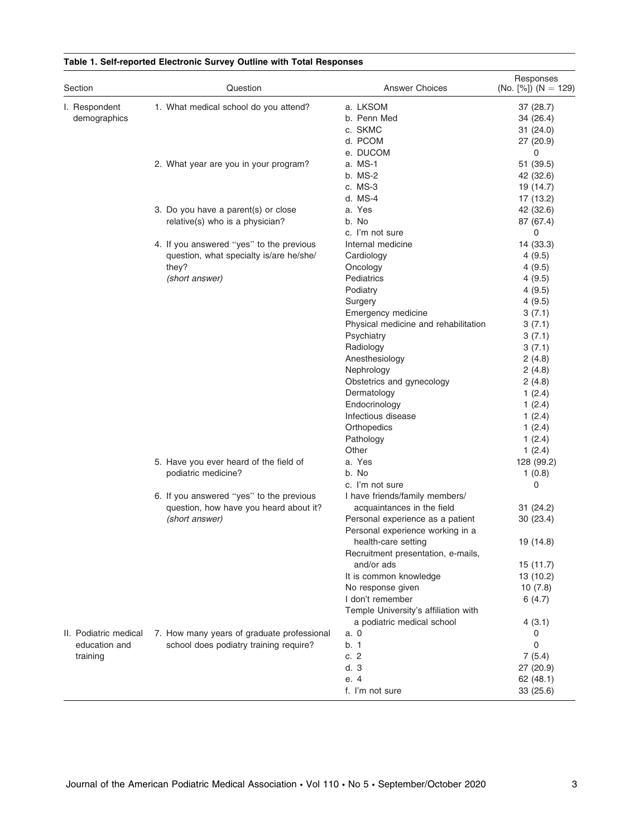| 1. What medical school do you attend?<br>I. Respondent<br>a. LKSOM<br>37 (28.7)<br>demographics<br>b. Penn Med<br>34 (26.4)<br>c. SKMC<br>31(24.0)<br>d. PCOM<br>27 (20.9)<br>e. DUCOM<br>0<br>a. MS-1<br>51 (39.5)<br>2. What year are you in your program?<br>b. MS-2<br>42 (32.6)<br>c. MS-3<br>19 (14.7)<br>d. MS-4<br>17 (13.2)<br>3. Do you have a parent(s) or close<br>a. Yes<br>42 (32.6)<br>relative(s) who is a physician?<br>b. No<br>87 (67.4)<br>c. I'm not sure<br>0<br>4. If you answered "yes" to the previous<br>Internal medicine<br>14 (33.3)<br>question, what specialty is/are he/she/<br>Cardiology<br>4(9.5)<br>they?<br>4(9.5)<br>Oncology<br>(short answer)<br>Pediatrics<br>4(9.5)<br>Podiatry<br>4(9.5)<br>Surgery<br>4(9.5)<br>Emergency medicine<br>3(7.1)<br>Physical medicine and rehabilitation<br>3(7.1)<br>Psychiatry<br>3(7.1)<br>Radiology<br>3(7.1)<br>Anesthesiology<br>2(4.8)<br>Nephrology<br>2(4.8)<br>Obstetrics and gynecology<br>2(4.8)<br>Dermatology<br>1(2.4)<br>Endocrinology<br>1(2.4)<br>Infectious disease<br>1(2.4)<br>Orthopedics<br>1(2.4)<br>Pathology<br>1(2.4)<br>Other<br>1(2.4)<br>a. Yes<br>5. Have you ever heard of the field of<br>128 (99.2)<br>podiatric medicine?<br>b. No<br>1(0.8)<br>c. I'm not sure<br>0<br>6. If you answered "yes" to the previous<br>I have friends/family members/<br>question, how have you heard about it?<br>acquaintances in the field<br>31(24.2)<br>(short answer)<br>Personal experience as a patient<br>30(23.4)<br>Personal experience working in a<br>health-care setting<br>19 (14.8)<br>Recruitment presentation, e-mails,<br>and/or ads<br>15 (11.7)<br>It is common knowledge<br>13 (10.2)<br>No response given<br>10(7.8)<br>I don't remember<br>6(4.7)<br>Temple University's affiliation with<br>a podiatric medical school<br>4(3.1)<br>II. Podiatric medical<br>7. How many years of graduate professional<br>a. 0<br>0<br>0<br>education and<br>school does podiatry training require?<br>b. 1<br>c.2<br>7(5.4)<br>training<br>d.3<br>27 (20.9)<br>e. 4<br>62(48.1) | Section | Question | <b>Answer Choices</b> | Responses<br>(No. $[%]$ ) (N = 129) |  |
|------------------------------------------------------------------------------------------------------------------------------------------------------------------------------------------------------------------------------------------------------------------------------------------------------------------------------------------------------------------------------------------------------------------------------------------------------------------------------------------------------------------------------------------------------------------------------------------------------------------------------------------------------------------------------------------------------------------------------------------------------------------------------------------------------------------------------------------------------------------------------------------------------------------------------------------------------------------------------------------------------------------------------------------------------------------------------------------------------------------------------------------------------------------------------------------------------------------------------------------------------------------------------------------------------------------------------------------------------------------------------------------------------------------------------------------------------------------------------------------------------------------------------------------------------------------------------------------------------------------------------------------------------------------------------------------------------------------------------------------------------------------------------------------------------------------------------------------------------------------------------------------------------------------------------------------------------------------------------------------------------------------------------------------------------------------------------------|---------|----------|-----------------------|-------------------------------------|--|
|                                                                                                                                                                                                                                                                                                                                                                                                                                                                                                                                                                                                                                                                                                                                                                                                                                                                                                                                                                                                                                                                                                                                                                                                                                                                                                                                                                                                                                                                                                                                                                                                                                                                                                                                                                                                                                                                                                                                                                                                                                                                                    |         |          |                       |                                     |  |
|                                                                                                                                                                                                                                                                                                                                                                                                                                                                                                                                                                                                                                                                                                                                                                                                                                                                                                                                                                                                                                                                                                                                                                                                                                                                                                                                                                                                                                                                                                                                                                                                                                                                                                                                                                                                                                                                                                                                                                                                                                                                                    |         |          |                       |                                     |  |
|                                                                                                                                                                                                                                                                                                                                                                                                                                                                                                                                                                                                                                                                                                                                                                                                                                                                                                                                                                                                                                                                                                                                                                                                                                                                                                                                                                                                                                                                                                                                                                                                                                                                                                                                                                                                                                                                                                                                                                                                                                                                                    |         |          |                       |                                     |  |
|                                                                                                                                                                                                                                                                                                                                                                                                                                                                                                                                                                                                                                                                                                                                                                                                                                                                                                                                                                                                                                                                                                                                                                                                                                                                                                                                                                                                                                                                                                                                                                                                                                                                                                                                                                                                                                                                                                                                                                                                                                                                                    |         |          |                       |                                     |  |
|                                                                                                                                                                                                                                                                                                                                                                                                                                                                                                                                                                                                                                                                                                                                                                                                                                                                                                                                                                                                                                                                                                                                                                                                                                                                                                                                                                                                                                                                                                                                                                                                                                                                                                                                                                                                                                                                                                                                                                                                                                                                                    |         |          |                       |                                     |  |
|                                                                                                                                                                                                                                                                                                                                                                                                                                                                                                                                                                                                                                                                                                                                                                                                                                                                                                                                                                                                                                                                                                                                                                                                                                                                                                                                                                                                                                                                                                                                                                                                                                                                                                                                                                                                                                                                                                                                                                                                                                                                                    |         |          |                       |                                     |  |
|                                                                                                                                                                                                                                                                                                                                                                                                                                                                                                                                                                                                                                                                                                                                                                                                                                                                                                                                                                                                                                                                                                                                                                                                                                                                                                                                                                                                                                                                                                                                                                                                                                                                                                                                                                                                                                                                                                                                                                                                                                                                                    |         |          |                       |                                     |  |
|                                                                                                                                                                                                                                                                                                                                                                                                                                                                                                                                                                                                                                                                                                                                                                                                                                                                                                                                                                                                                                                                                                                                                                                                                                                                                                                                                                                                                                                                                                                                                                                                                                                                                                                                                                                                                                                                                                                                                                                                                                                                                    |         |          |                       |                                     |  |
|                                                                                                                                                                                                                                                                                                                                                                                                                                                                                                                                                                                                                                                                                                                                                                                                                                                                                                                                                                                                                                                                                                                                                                                                                                                                                                                                                                                                                                                                                                                                                                                                                                                                                                                                                                                                                                                                                                                                                                                                                                                                                    |         |          |                       |                                     |  |
|                                                                                                                                                                                                                                                                                                                                                                                                                                                                                                                                                                                                                                                                                                                                                                                                                                                                                                                                                                                                                                                                                                                                                                                                                                                                                                                                                                                                                                                                                                                                                                                                                                                                                                                                                                                                                                                                                                                                                                                                                                                                                    |         |          |                       |                                     |  |
|                                                                                                                                                                                                                                                                                                                                                                                                                                                                                                                                                                                                                                                                                                                                                                                                                                                                                                                                                                                                                                                                                                                                                                                                                                                                                                                                                                                                                                                                                                                                                                                                                                                                                                                                                                                                                                                                                                                                                                                                                                                                                    |         |          |                       |                                     |  |
|                                                                                                                                                                                                                                                                                                                                                                                                                                                                                                                                                                                                                                                                                                                                                                                                                                                                                                                                                                                                                                                                                                                                                                                                                                                                                                                                                                                                                                                                                                                                                                                                                                                                                                                                                                                                                                                                                                                                                                                                                                                                                    |         |          |                       |                                     |  |
|                                                                                                                                                                                                                                                                                                                                                                                                                                                                                                                                                                                                                                                                                                                                                                                                                                                                                                                                                                                                                                                                                                                                                                                                                                                                                                                                                                                                                                                                                                                                                                                                                                                                                                                                                                                                                                                                                                                                                                                                                                                                                    |         |          |                       |                                     |  |
|                                                                                                                                                                                                                                                                                                                                                                                                                                                                                                                                                                                                                                                                                                                                                                                                                                                                                                                                                                                                                                                                                                                                                                                                                                                                                                                                                                                                                                                                                                                                                                                                                                                                                                                                                                                                                                                                                                                                                                                                                                                                                    |         |          |                       |                                     |  |
|                                                                                                                                                                                                                                                                                                                                                                                                                                                                                                                                                                                                                                                                                                                                                                                                                                                                                                                                                                                                                                                                                                                                                                                                                                                                                                                                                                                                                                                                                                                                                                                                                                                                                                                                                                                                                                                                                                                                                                                                                                                                                    |         |          |                       |                                     |  |
|                                                                                                                                                                                                                                                                                                                                                                                                                                                                                                                                                                                                                                                                                                                                                                                                                                                                                                                                                                                                                                                                                                                                                                                                                                                                                                                                                                                                                                                                                                                                                                                                                                                                                                                                                                                                                                                                                                                                                                                                                                                                                    |         |          |                       |                                     |  |
|                                                                                                                                                                                                                                                                                                                                                                                                                                                                                                                                                                                                                                                                                                                                                                                                                                                                                                                                                                                                                                                                                                                                                                                                                                                                                                                                                                                                                                                                                                                                                                                                                                                                                                                                                                                                                                                                                                                                                                                                                                                                                    |         |          |                       |                                     |  |
|                                                                                                                                                                                                                                                                                                                                                                                                                                                                                                                                                                                                                                                                                                                                                                                                                                                                                                                                                                                                                                                                                                                                                                                                                                                                                                                                                                                                                                                                                                                                                                                                                                                                                                                                                                                                                                                                                                                                                                                                                                                                                    |         |          |                       |                                     |  |
|                                                                                                                                                                                                                                                                                                                                                                                                                                                                                                                                                                                                                                                                                                                                                                                                                                                                                                                                                                                                                                                                                                                                                                                                                                                                                                                                                                                                                                                                                                                                                                                                                                                                                                                                                                                                                                                                                                                                                                                                                                                                                    |         |          |                       |                                     |  |
|                                                                                                                                                                                                                                                                                                                                                                                                                                                                                                                                                                                                                                                                                                                                                                                                                                                                                                                                                                                                                                                                                                                                                                                                                                                                                                                                                                                                                                                                                                                                                                                                                                                                                                                                                                                                                                                                                                                                                                                                                                                                                    |         |          |                       |                                     |  |
|                                                                                                                                                                                                                                                                                                                                                                                                                                                                                                                                                                                                                                                                                                                                                                                                                                                                                                                                                                                                                                                                                                                                                                                                                                                                                                                                                                                                                                                                                                                                                                                                                                                                                                                                                                                                                                                                                                                                                                                                                                                                                    |         |          |                       |                                     |  |
|                                                                                                                                                                                                                                                                                                                                                                                                                                                                                                                                                                                                                                                                                                                                                                                                                                                                                                                                                                                                                                                                                                                                                                                                                                                                                                                                                                                                                                                                                                                                                                                                                                                                                                                                                                                                                                                                                                                                                                                                                                                                                    |         |          |                       |                                     |  |
|                                                                                                                                                                                                                                                                                                                                                                                                                                                                                                                                                                                                                                                                                                                                                                                                                                                                                                                                                                                                                                                                                                                                                                                                                                                                                                                                                                                                                                                                                                                                                                                                                                                                                                                                                                                                                                                                                                                                                                                                                                                                                    |         |          |                       |                                     |  |
|                                                                                                                                                                                                                                                                                                                                                                                                                                                                                                                                                                                                                                                                                                                                                                                                                                                                                                                                                                                                                                                                                                                                                                                                                                                                                                                                                                                                                                                                                                                                                                                                                                                                                                                                                                                                                                                                                                                                                                                                                                                                                    |         |          |                       |                                     |  |
|                                                                                                                                                                                                                                                                                                                                                                                                                                                                                                                                                                                                                                                                                                                                                                                                                                                                                                                                                                                                                                                                                                                                                                                                                                                                                                                                                                                                                                                                                                                                                                                                                                                                                                                                                                                                                                                                                                                                                                                                                                                                                    |         |          |                       |                                     |  |
|                                                                                                                                                                                                                                                                                                                                                                                                                                                                                                                                                                                                                                                                                                                                                                                                                                                                                                                                                                                                                                                                                                                                                                                                                                                                                                                                                                                                                                                                                                                                                                                                                                                                                                                                                                                                                                                                                                                                                                                                                                                                                    |         |          |                       |                                     |  |
|                                                                                                                                                                                                                                                                                                                                                                                                                                                                                                                                                                                                                                                                                                                                                                                                                                                                                                                                                                                                                                                                                                                                                                                                                                                                                                                                                                                                                                                                                                                                                                                                                                                                                                                                                                                                                                                                                                                                                                                                                                                                                    |         |          |                       |                                     |  |
|                                                                                                                                                                                                                                                                                                                                                                                                                                                                                                                                                                                                                                                                                                                                                                                                                                                                                                                                                                                                                                                                                                                                                                                                                                                                                                                                                                                                                                                                                                                                                                                                                                                                                                                                                                                                                                                                                                                                                                                                                                                                                    |         |          |                       |                                     |  |
|                                                                                                                                                                                                                                                                                                                                                                                                                                                                                                                                                                                                                                                                                                                                                                                                                                                                                                                                                                                                                                                                                                                                                                                                                                                                                                                                                                                                                                                                                                                                                                                                                                                                                                                                                                                                                                                                                                                                                                                                                                                                                    |         |          |                       |                                     |  |
|                                                                                                                                                                                                                                                                                                                                                                                                                                                                                                                                                                                                                                                                                                                                                                                                                                                                                                                                                                                                                                                                                                                                                                                                                                                                                                                                                                                                                                                                                                                                                                                                                                                                                                                                                                                                                                                                                                                                                                                                                                                                                    |         |          |                       |                                     |  |
|                                                                                                                                                                                                                                                                                                                                                                                                                                                                                                                                                                                                                                                                                                                                                                                                                                                                                                                                                                                                                                                                                                                                                                                                                                                                                                                                                                                                                                                                                                                                                                                                                                                                                                                                                                                                                                                                                                                                                                                                                                                                                    |         |          |                       |                                     |  |
|                                                                                                                                                                                                                                                                                                                                                                                                                                                                                                                                                                                                                                                                                                                                                                                                                                                                                                                                                                                                                                                                                                                                                                                                                                                                                                                                                                                                                                                                                                                                                                                                                                                                                                                                                                                                                                                                                                                                                                                                                                                                                    |         |          |                       |                                     |  |
|                                                                                                                                                                                                                                                                                                                                                                                                                                                                                                                                                                                                                                                                                                                                                                                                                                                                                                                                                                                                                                                                                                                                                                                                                                                                                                                                                                                                                                                                                                                                                                                                                                                                                                                                                                                                                                                                                                                                                                                                                                                                                    |         |          |                       |                                     |  |
|                                                                                                                                                                                                                                                                                                                                                                                                                                                                                                                                                                                                                                                                                                                                                                                                                                                                                                                                                                                                                                                                                                                                                                                                                                                                                                                                                                                                                                                                                                                                                                                                                                                                                                                                                                                                                                                                                                                                                                                                                                                                                    |         |          |                       |                                     |  |
|                                                                                                                                                                                                                                                                                                                                                                                                                                                                                                                                                                                                                                                                                                                                                                                                                                                                                                                                                                                                                                                                                                                                                                                                                                                                                                                                                                                                                                                                                                                                                                                                                                                                                                                                                                                                                                                                                                                                                                                                                                                                                    |         |          |                       |                                     |  |
|                                                                                                                                                                                                                                                                                                                                                                                                                                                                                                                                                                                                                                                                                                                                                                                                                                                                                                                                                                                                                                                                                                                                                                                                                                                                                                                                                                                                                                                                                                                                                                                                                                                                                                                                                                                                                                                                                                                                                                                                                                                                                    |         |          |                       |                                     |  |
|                                                                                                                                                                                                                                                                                                                                                                                                                                                                                                                                                                                                                                                                                                                                                                                                                                                                                                                                                                                                                                                                                                                                                                                                                                                                                                                                                                                                                                                                                                                                                                                                                                                                                                                                                                                                                                                                                                                                                                                                                                                                                    |         |          |                       |                                     |  |
|                                                                                                                                                                                                                                                                                                                                                                                                                                                                                                                                                                                                                                                                                                                                                                                                                                                                                                                                                                                                                                                                                                                                                                                                                                                                                                                                                                                                                                                                                                                                                                                                                                                                                                                                                                                                                                                                                                                                                                                                                                                                                    |         |          |                       |                                     |  |
|                                                                                                                                                                                                                                                                                                                                                                                                                                                                                                                                                                                                                                                                                                                                                                                                                                                                                                                                                                                                                                                                                                                                                                                                                                                                                                                                                                                                                                                                                                                                                                                                                                                                                                                                                                                                                                                                                                                                                                                                                                                                                    |         |          |                       |                                     |  |
|                                                                                                                                                                                                                                                                                                                                                                                                                                                                                                                                                                                                                                                                                                                                                                                                                                                                                                                                                                                                                                                                                                                                                                                                                                                                                                                                                                                                                                                                                                                                                                                                                                                                                                                                                                                                                                                                                                                                                                                                                                                                                    |         |          |                       |                                     |  |
|                                                                                                                                                                                                                                                                                                                                                                                                                                                                                                                                                                                                                                                                                                                                                                                                                                                                                                                                                                                                                                                                                                                                                                                                                                                                                                                                                                                                                                                                                                                                                                                                                                                                                                                                                                                                                                                                                                                                                                                                                                                                                    |         |          |                       |                                     |  |
|                                                                                                                                                                                                                                                                                                                                                                                                                                                                                                                                                                                                                                                                                                                                                                                                                                                                                                                                                                                                                                                                                                                                                                                                                                                                                                                                                                                                                                                                                                                                                                                                                                                                                                                                                                                                                                                                                                                                                                                                                                                                                    |         |          |                       |                                     |  |
|                                                                                                                                                                                                                                                                                                                                                                                                                                                                                                                                                                                                                                                                                                                                                                                                                                                                                                                                                                                                                                                                                                                                                                                                                                                                                                                                                                                                                                                                                                                                                                                                                                                                                                                                                                                                                                                                                                                                                                                                                                                                                    |         |          |                       |                                     |  |
|                                                                                                                                                                                                                                                                                                                                                                                                                                                                                                                                                                                                                                                                                                                                                                                                                                                                                                                                                                                                                                                                                                                                                                                                                                                                                                                                                                                                                                                                                                                                                                                                                                                                                                                                                                                                                                                                                                                                                                                                                                                                                    |         |          |                       |                                     |  |
|                                                                                                                                                                                                                                                                                                                                                                                                                                                                                                                                                                                                                                                                                                                                                                                                                                                                                                                                                                                                                                                                                                                                                                                                                                                                                                                                                                                                                                                                                                                                                                                                                                                                                                                                                                                                                                                                                                                                                                                                                                                                                    |         |          |                       |                                     |  |
|                                                                                                                                                                                                                                                                                                                                                                                                                                                                                                                                                                                                                                                                                                                                                                                                                                                                                                                                                                                                                                                                                                                                                                                                                                                                                                                                                                                                                                                                                                                                                                                                                                                                                                                                                                                                                                                                                                                                                                                                                                                                                    |         |          |                       |                                     |  |
|                                                                                                                                                                                                                                                                                                                                                                                                                                                                                                                                                                                                                                                                                                                                                                                                                                                                                                                                                                                                                                                                                                                                                                                                                                                                                                                                                                                                                                                                                                                                                                                                                                                                                                                                                                                                                                                                                                                                                                                                                                                                                    |         |          |                       |                                     |  |
|                                                                                                                                                                                                                                                                                                                                                                                                                                                                                                                                                                                                                                                                                                                                                                                                                                                                                                                                                                                                                                                                                                                                                                                                                                                                                                                                                                                                                                                                                                                                                                                                                                                                                                                                                                                                                                                                                                                                                                                                                                                                                    |         |          |                       |                                     |  |
|                                                                                                                                                                                                                                                                                                                                                                                                                                                                                                                                                                                                                                                                                                                                                                                                                                                                                                                                                                                                                                                                                                                                                                                                                                                                                                                                                                                                                                                                                                                                                                                                                                                                                                                                                                                                                                                                                                                                                                                                                                                                                    |         |          |                       |                                     |  |
|                                                                                                                                                                                                                                                                                                                                                                                                                                                                                                                                                                                                                                                                                                                                                                                                                                                                                                                                                                                                                                                                                                                                                                                                                                                                                                                                                                                                                                                                                                                                                                                                                                                                                                                                                                                                                                                                                                                                                                                                                                                                                    |         |          |                       |                                     |  |
|                                                                                                                                                                                                                                                                                                                                                                                                                                                                                                                                                                                                                                                                                                                                                                                                                                                                                                                                                                                                                                                                                                                                                                                                                                                                                                                                                                                                                                                                                                                                                                                                                                                                                                                                                                                                                                                                                                                                                                                                                                                                                    |         |          | f. I'm not sure       | 33 (25.6)                           |  |

## Table 1. Self-reported Electronic Survey Outline with Total Responses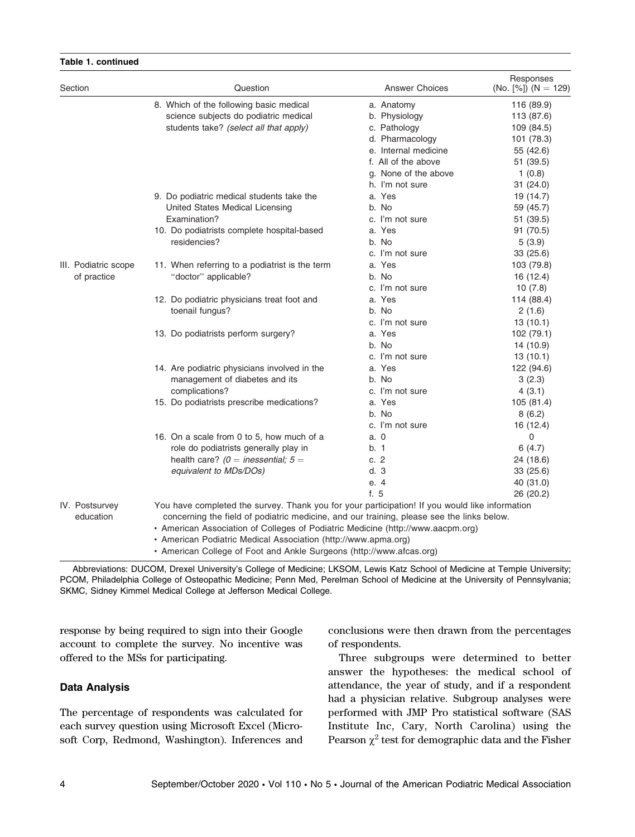| Section                     | Question                                                                                                                                                                                                                                                                                                                                                                                                                                     | <b>Answer Choices</b> | Responses<br>(No. $[%]$ ) (N = 129) |
|-----------------------------|----------------------------------------------------------------------------------------------------------------------------------------------------------------------------------------------------------------------------------------------------------------------------------------------------------------------------------------------------------------------------------------------------------------------------------------------|-----------------------|-------------------------------------|
|                             | 8. Which of the following basic medical                                                                                                                                                                                                                                                                                                                                                                                                      | a. Anatomy            | 116 (89.9)                          |
|                             | science subjects do podiatric medical                                                                                                                                                                                                                                                                                                                                                                                                        | b. Physiology         | 113 (87.6)                          |
|                             | students take? (select all that apply)                                                                                                                                                                                                                                                                                                                                                                                                       | c. Pathology          | 109 (84.5)                          |
|                             |                                                                                                                                                                                                                                                                                                                                                                                                                                              | d. Pharmacology       | 101 (78.3)                          |
|                             |                                                                                                                                                                                                                                                                                                                                                                                                                                              | e. Internal medicine  | 55 (42.6)                           |
|                             |                                                                                                                                                                                                                                                                                                                                                                                                                                              | f. All of the above   | 51 (39.5)                           |
|                             |                                                                                                                                                                                                                                                                                                                                                                                                                                              | g. None of the above  | 1(0.8)                              |
|                             |                                                                                                                                                                                                                                                                                                                                                                                                                                              | h. I'm not sure       | 31(24.0)                            |
|                             | 9. Do podiatric medical students take the                                                                                                                                                                                                                                                                                                                                                                                                    | a. Yes                | 19 (14.7)                           |
|                             | United States Medical Licensing                                                                                                                                                                                                                                                                                                                                                                                                              | b. No                 | 59 (45.7)                           |
|                             | Examination?                                                                                                                                                                                                                                                                                                                                                                                                                                 | c. I'm not sure       | 51 (39.5)                           |
|                             | 10. Do podiatrists complete hospital-based                                                                                                                                                                                                                                                                                                                                                                                                   | a. Yes                | 91 (70.5)                           |
|                             | residencies?                                                                                                                                                                                                                                                                                                                                                                                                                                 | b. No                 | 5(3.9)                              |
|                             |                                                                                                                                                                                                                                                                                                                                                                                                                                              | c. I'm not sure       | 33(25.6)                            |
| III. Podiatric scope        | 11. When referring to a podiatrist is the term                                                                                                                                                                                                                                                                                                                                                                                               | a. Yes                | 103 (79.8)                          |
| of practice                 | "doctor" applicable?                                                                                                                                                                                                                                                                                                                                                                                                                         | b. No                 | 16 (12.4)                           |
|                             |                                                                                                                                                                                                                                                                                                                                                                                                                                              | c. I'm not sure       | 10(7.8)                             |
|                             | 12. Do podiatric physicians treat foot and                                                                                                                                                                                                                                                                                                                                                                                                   | a. Yes                | 114 (88.4)                          |
|                             | toenail fungus?                                                                                                                                                                                                                                                                                                                                                                                                                              | b. No                 | 2(1.6)                              |
|                             |                                                                                                                                                                                                                                                                                                                                                                                                                                              | c. I'm not sure       | 13(10.1)                            |
|                             | 13. Do podiatrists perform surgery?                                                                                                                                                                                                                                                                                                                                                                                                          | a. Yes                | 102 (79.1)                          |
|                             |                                                                                                                                                                                                                                                                                                                                                                                                                                              | b. No                 | 14 (10.9)                           |
|                             |                                                                                                                                                                                                                                                                                                                                                                                                                                              | c. I'm not sure       | 13(10.1)                            |
|                             | 14. Are podiatric physicians involved in the                                                                                                                                                                                                                                                                                                                                                                                                 | a. Yes                | 122 (94.6)                          |
|                             | management of diabetes and its                                                                                                                                                                                                                                                                                                                                                                                                               | b. No                 | 3(2.3)                              |
|                             | complications?                                                                                                                                                                                                                                                                                                                                                                                                                               | c. I'm not sure       | 4(3.1)                              |
|                             | 15. Do podiatrists prescribe medications?                                                                                                                                                                                                                                                                                                                                                                                                    | a. Yes                | 105 (81.4)                          |
|                             |                                                                                                                                                                                                                                                                                                                                                                                                                                              | b. No                 | 8(6.2)                              |
|                             |                                                                                                                                                                                                                                                                                                                                                                                                                                              | c. I'm not sure       | 16 (12.4)                           |
|                             | 16. On a scale from 0 to 5, how much of a                                                                                                                                                                                                                                                                                                                                                                                                    | a. 0                  | 0                                   |
|                             | role do podiatrists generally play in                                                                                                                                                                                                                                                                                                                                                                                                        | b. 1                  | 6(4.7)                              |
|                             | health care? ( $0 =$ inessential; $5 =$                                                                                                                                                                                                                                                                                                                                                                                                      | c. $2$                | 24 (18.6)                           |
|                             | equivalent to MDs/DOs)                                                                                                                                                                                                                                                                                                                                                                                                                       | d.3                   | 33(25.6)                            |
|                             |                                                                                                                                                                                                                                                                                                                                                                                                                                              | e. 4                  | 40 (31.0)                           |
|                             |                                                                                                                                                                                                                                                                                                                                                                                                                                              | f. 5                  | 26 (20.2)                           |
| IV. Postsurvey<br>education | You have completed the survey. Thank you for your participation! If you would like information<br>concerning the field of podiatric medicine, and our training, please see the links below.<br>• American Association of Colleges of Podiatric Medicine (http://www.aacpm.org)<br>• American Podiatric Medical Association (http://www.apma.org)<br>$\epsilon$ $=$ $\epsilon$ $\epsilon$ $=$ $\epsilon$ $\epsilon$ $\epsilon$ $=$ $\epsilon$ |                       |                                     |

#### - American College of Foot and Ankle Surgeons (http://www.afcas.org)

Abbreviations: DUCOM, Drexel University's College of Medicine; LKSOM, Lewis Katz School of Medicine at Temple University; PCOM, Philadelphia College of Osteopathic Medicine; Penn Med, Perelman School of Medicine at the University of Pennsylvania; SKMC, Sidney Kimmel Medical College at Jefferson Medical College.

response by being required to sign into their Google account to complete the survey. No incentive was offered to the MSs for participating.

#### Data Analysis

Table 1. continued

The percentage of respondents was calculated for each survey question using Microsoft Excel (Microsoft Corp, Redmond, Washington). Inferences and conclusions were then drawn from the percentages of respondents.

Three subgroups were determined to better answer the hypotheses: the medical school of attendance, the year of study, and if a respondent had a physician relative. Subgroup analyses were performed with JMP Pro statistical software (SAS Institute Inc, Cary, North Carolina) using the Pearson  $\chi^2$  test for demographic data and the Fisher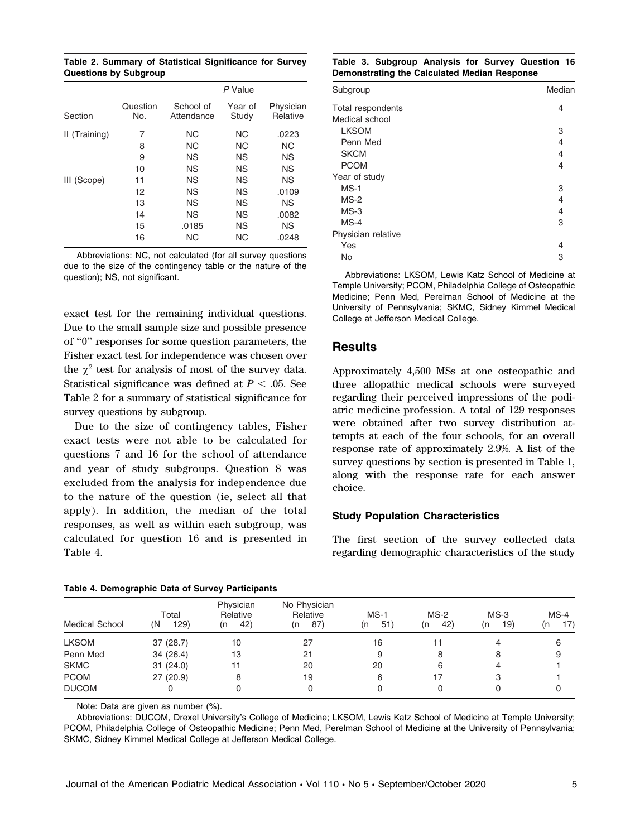Table 2. Summary of Statistical Significance for Survey Questions by Subgroup

|               |                 | P Value                 |                  |                       |
|---------------|-----------------|-------------------------|------------------|-----------------------|
| Section       | Question<br>No. | School of<br>Attendance | Year of<br>Study | Physician<br>Relative |
| II (Training) | 7               | NC.                     | NС               | .0223                 |
|               | 8               | <b>NC</b>               | NС               | NС                    |
|               | 9               | <b>NS</b>               | <b>NS</b>        | <b>NS</b>             |
|               | 10              | ΝS                      | ΝS               | <b>NS</b>             |
| III (Scope)   | 11              | <b>NS</b>               | ΝS               | <b>NS</b>             |
|               | 12              | <b>NS</b>               | <b>NS</b>        | .0109                 |
|               | 13              | <b>NS</b>               | ΝS               | <b>NS</b>             |
|               | 14              | <b>NS</b>               | <b>NS</b>        | .0082                 |
|               | 15              | .0185                   | ΝS               | <b>NS</b>             |
|               | 16              | NC.                     | <b>NC</b>        | .0248                 |

Abbreviations: NC, not calculated (for all survey questions due to the size of the contingency table or the nature of the question); NS, not significant.

exact test for the remaining individual questions. Due to the small sample size and possible presence of ''0'' responses for some question parameters, the Fisher exact test for independence was chosen over the  $\chi^2$  test for analysis of most of the survey data. Statistical significance was defined at  $P < .05$ . See Table 2 for a summary of statistical significance for survey questions by subgroup.

Due to the size of contingency tables, Fisher exact tests were not able to be calculated for questions 7 and 16 for the school of attendance and year of study subgroups. Question 8 was excluded from the analysis for independence due to the nature of the question (ie, select all that apply). In addition, the median of the total responses, as well as within each subgroup, was calculated for question 16 and is presented in Table 4.

Table 3. Subgroup Analysis for Survey Question 16 Demonstrating the Calculated Median Response

| Subgroup           | Median |  |
|--------------------|--------|--|
| Total respondents  | 4      |  |
| Medical school     |        |  |
| <b>LKSOM</b>       | 3      |  |
| Penn Med           | 4      |  |
| <b>SKCM</b>        | 4      |  |
| <b>PCOM</b>        | 4      |  |
| Year of study      |        |  |
| $MS-1$             | 3      |  |
| $MS-2$             | 4      |  |
| $MS-3$             | 4      |  |
| $MS-4$             | 3      |  |
| Physician relative |        |  |
| Yes                | 4      |  |
| No                 | 3      |  |

Abbreviations: LKSOM, Lewis Katz School of Medicine at Temple University; PCOM, Philadelphia College of Osteopathic Medicine; Penn Med, Perelman School of Medicine at the University of Pennsylvania; SKMC, Sidney Kimmel Medical College at Jefferson Medical College.

#### **Results**

Approximately 4,500 MSs at one osteopathic and three allopathic medical schools were surveyed regarding their perceived impressions of the podiatric medicine profession. A total of 129 responses were obtained after two survey distribution attempts at each of the four schools, for an overall response rate of approximately 2.9%. A list of the survey questions by section is presented in Table 1, along with the response rate for each answer choice.

#### Study Population Characteristics

The first section of the survey collected data regarding demographic characteristics of the study

| Table 4. Demographic Data of Survey Participants<br><b>Medical School</b> | Total<br>$(N = 129)$ | Physician<br>Relative<br>$(n = 42)$ | No Physician<br>Relative<br>$(n = 87)$ | $MS-1$<br>$(n = 51)$ | $MS-2$<br>$(n = 42)$ | $MS-3$<br>$(n = 19)$ | $MS-4$<br>$(n = 17)$ |
|---------------------------------------------------------------------------|----------------------|-------------------------------------|----------------------------------------|----------------------|----------------------|----------------------|----------------------|
| <b>LKSOM</b>                                                              | 37(28.7)             | 10                                  | 27                                     | 16                   | 11                   |                      | 6                    |
| Penn Med                                                                  | 34(26.4)             | 13                                  | 21                                     | 9                    |                      | 8                    | 9                    |
| <b>SKMC</b>                                                               | 31(24.0)             | 11                                  | 20                                     | 20                   | 6                    |                      |                      |
| <b>PCOM</b>                                                               | 27(20.9)             | 8                                   | 19                                     | 6                    | 17                   | з                    |                      |
| <b>DUCOM</b>                                                              |                      |                                     | 0                                      |                      |                      |                      |                      |

Note: Data are given as number (%).

Abbreviations: DUCOM, Drexel University's College of Medicine; LKSOM, Lewis Katz School of Medicine at Temple University; PCOM, Philadelphia College of Osteopathic Medicine; Penn Med, Perelman School of Medicine at the University of Pennsylvania; SKMC, Sidney Kimmel Medical College at Jefferson Medical College.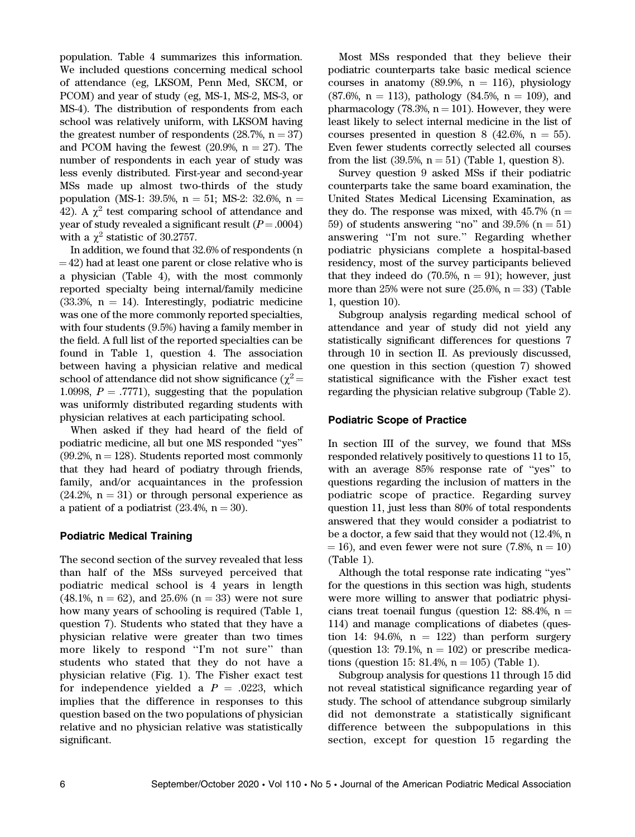population. Table 4 summarizes this information. We included questions concerning medical school of attendance (eg, LKSOM, Penn Med, SKCM, or PCOM) and year of study (eg, MS-1, MS-2, MS-3, or MS-4). The distribution of respondents from each school was relatively uniform, with LKSOM having the greatest number of respondents  $(28.7\%, n = 37)$ and PCOM having the fewest  $(20.9\%, n = 27)$ . The number of respondents in each year of study was less evenly distributed. First-year and second-year MSs made up almost two-thirds of the study population (MS-1: 39.5%,  $n = 51$ ; MS-2: 32.6%,  $n =$ 42). A  $\gamma^2$  test comparing school of attendance and year of study revealed a significant result  $(P=.0004)$ with a  $\gamma^2$  statistic of 30.2757.

In addition, we found that 32.6% of respondents (n  $=$  42) had at least one parent or close relative who is a physician (Table 4), with the most commonly reported specialty being internal/family medicine  $(33.3\%, n = 14)$ . Interestingly, podiatric medicine was one of the more commonly reported specialties, with four students (9.5%) having a family member in the field. A full list of the reported specialties can be found in Table 1, question 4. The association between having a physician relative and medical school of attendance did not show significance ( $\chi^2$  = 1.0998,  $P = .7771$ , suggesting that the population was uniformly distributed regarding students with physician relatives at each participating school.

When asked if they had heard of the field of podiatric medicine, all but one MS responded ''yes''  $(99.2\%, n = 128)$ . Students reported most commonly that they had heard of podiatry through friends, family, and/or acquaintances in the profession  $(24.2\%, n = 31)$  or through personal experience as a patient of a podiatrist  $(23.4\%, n = 30)$ .

#### Podiatric Medical Training

The second section of the survey revealed that less than half of the MSs surveyed perceived that podiatric medical school is 4 years in length  $(48.1\%, n = 62)$ , and  $25.6\%$   $(n = 33)$  were not sure how many years of schooling is required (Table 1, question 7). Students who stated that they have a physician relative were greater than two times more likely to respond "I'm not sure" than students who stated that they do not have a physician relative (Fig. 1). The Fisher exact test for independence yielded a  $P = .0223$ , which implies that the difference in responses to this question based on the two populations of physician relative and no physician relative was statistically significant.

Most MSs responded that they believe their podiatric counterparts take basic medical science courses in anatomy (89.9%,  $n = 116$ ), physiology  $(87.6\%, n = 113)$ , pathology  $(84.5\%, n = 109)$ , and pharmacology (78.3%,  $n = 101$ ). However, they were least likely to select internal medicine in the list of courses presented in question 8 (42.6%,  $n = 55$ ). Even fewer students correctly selected all courses from the list  $(39.5\%, n = 51)$  (Table 1, question 8).

Survey question 9 asked MSs if their podiatric counterparts take the same board examination, the United States Medical Licensing Examination, as they do. The response was mixed, with  $45.7\%$  (n = 59) of students answering "no" and  $39.5\%$  (n = 51) answering ''I'm not sure.'' Regarding whether podiatric physicians complete a hospital-based residency, most of the survey participants believed that they indeed do  $(70.5\%, n = 91)$ ; however, just more than 25% were not sure  $(25.6\%, n = 33)$  (Table 1, question 10).

Subgroup analysis regarding medical school of attendance and year of study did not yield any statistically significant differences for questions 7 through 10 in section II. As previously discussed, one question in this section (question 7) showed statistical significance with the Fisher exact test regarding the physician relative subgroup (Table 2).

#### Podiatric Scope of Practice

In section III of the survey, we found that MSs responded relatively positively to questions 11 to 15, with an average 85% response rate of ''yes'' to questions regarding the inclusion of matters in the podiatric scope of practice. Regarding survey question 11, just less than 80% of total respondents answered that they would consider a podiatrist to be a doctor, a few said that they would not (12.4%, n  $= 16$ ), and even fewer were not sure (7.8%, n  $= 10$ ) (Table 1).

Although the total response rate indicating ''yes'' for the questions in this section was high, students were more willing to answer that podiatric physicians treat toenail fungus (question 12: 88.4%,  $n =$ 114) and manage complications of diabetes (question 14: 94.6%,  $n = 122$ ) than perform surgery (question 13: 79.1%,  $n = 102$ ) or prescribe medications (question 15: 81.4%,  $n = 105$ ) (Table 1).

Subgroup analysis for questions 11 through 15 did not reveal statistical significance regarding year of study. The school of attendance subgroup similarly did not demonstrate a statistically significant difference between the subpopulations in this section, except for question 15 regarding the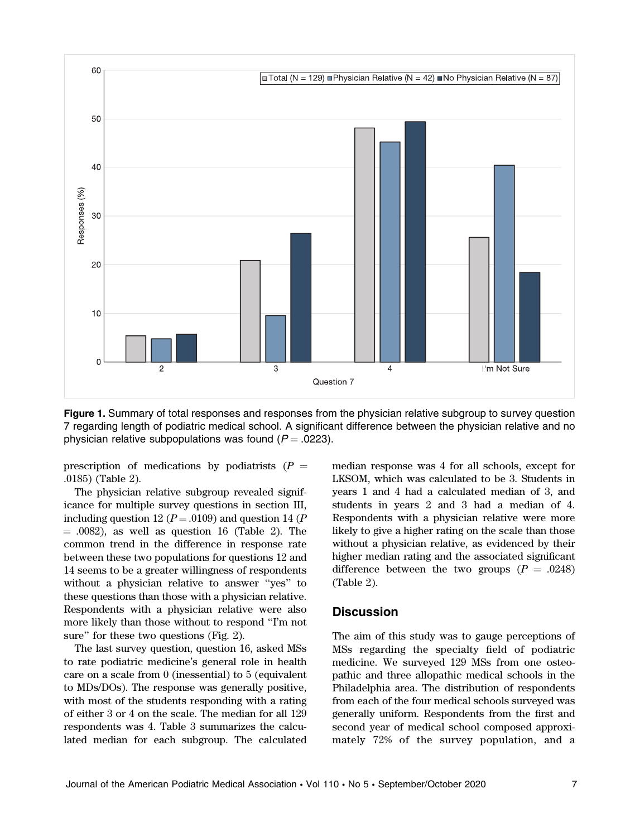

Figure 1. Summary of total responses and responses from the physician relative subgroup to survey question 7 regarding length of podiatric medical school. A significant difference between the physician relative and no physician relative subpopulations was found ( $P = .0223$ ).

prescription of medications by podiatrists  $(P =$ .0185) (Table 2).

The physician relative subgroup revealed significance for multiple survey questions in section III, including question 12 ( $P = .0109$ ) and question 14 ( $P$  $= .0082$ ), as well as question 16 (Table 2). The common trend in the difference in response rate between these two populations for questions 12 and 14 seems to be a greater willingness of respondents without a physician relative to answer ''yes'' to these questions than those with a physician relative. Respondents with a physician relative were also more likely than those without to respond ''I'm not sure'' for these two questions (Fig. 2).

The last survey question, question 16, asked MSs to rate podiatric medicine's general role in health care on a scale from 0 (inessential) to 5 (equivalent to MDs/DOs). The response was generally positive, with most of the students responding with a rating of either 3 or 4 on the scale. The median for all 129 respondents was 4. Table 3 summarizes the calculated median for each subgroup. The calculated median response was 4 for all schools, except for LKSOM, which was calculated to be 3. Students in years 1 and 4 had a calculated median of 3, and students in years 2 and 3 had a median of 4. Respondents with a physician relative were more likely to give a higher rating on the scale than those without a physician relative, as evidenced by their higher median rating and the associated significant difference between the two groups  $(P = .0248)$ (Table 2).

## **Discussion**

The aim of this study was to gauge perceptions of MSs regarding the specialty field of podiatric medicine. We surveyed 129 MSs from one osteopathic and three allopathic medical schools in the Philadelphia area. The distribution of respondents from each of the four medical schools surveyed was generally uniform. Respondents from the first and second year of medical school composed approximately 72% of the survey population, and a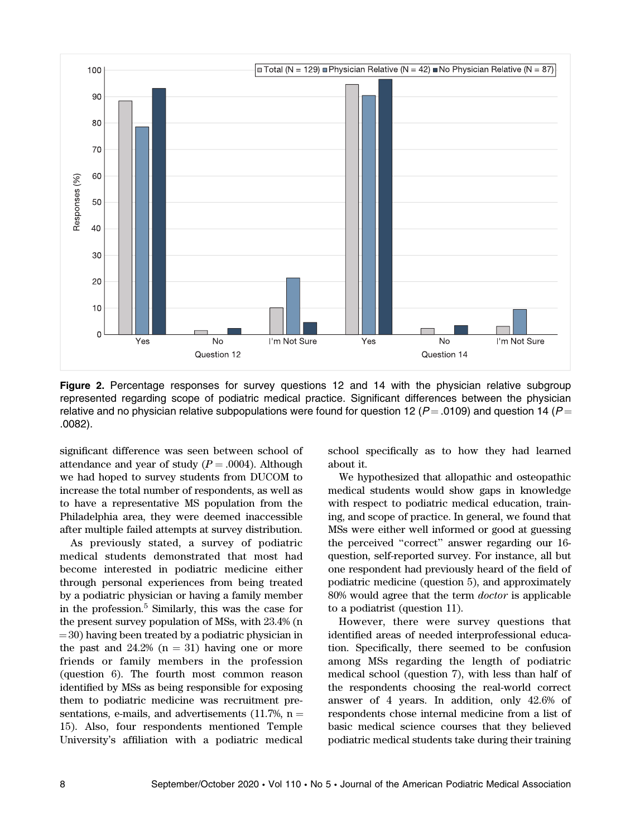

Figure 2. Percentage responses for survey questions 12 and 14 with the physician relative subgroup represented regarding scope of podiatric medical practice. Significant differences between the physician relative and no physician relative subpopulations were found for question 12 ( $P = .0109$ ) and question 14 ( $P =$ .0082).

significant difference was seen between school of attendance and year of study  $(P = .0004)$ . Although we had hoped to survey students from DUCOM to increase the total number of respondents, as well as to have a representative MS population from the Philadelphia area, they were deemed inaccessible after multiple failed attempts at survey distribution.

As previously stated, a survey of podiatric medical students demonstrated that most had become interested in podiatric medicine either through personal experiences from being treated by a podiatric physician or having a family member in the profession.<sup>5</sup> Similarly, this was the case for the present survey population of MSs, with 23.4% (n  $=$  30) having been treated by a podiatric physician in the past and  $24.2\%$  (n = 31) having one or more friends or family members in the profession (question 6). The fourth most common reason identified by MSs as being responsible for exposing them to podiatric medicine was recruitment presentations, e-mails, and advertisements  $(11.7\%, n =$ 15). Also, four respondents mentioned Temple University's affiliation with a podiatric medical

school specifically as to how they had learned about it.

We hypothesized that allopathic and osteopathic medical students would show gaps in knowledge with respect to podiatric medical education, training, and scope of practice. In general, we found that MSs were either well informed or good at guessing the perceived ''correct'' answer regarding our 16 question, self-reported survey. For instance, all but one respondent had previously heard of the field of podiatric medicine (question 5), and approximately 80% would agree that the term doctor is applicable to a podiatrist (question 11).

However, there were survey questions that identified areas of needed interprofessional education. Specifically, there seemed to be confusion among MSs regarding the length of podiatric medical school (question 7), with less than half of the respondents choosing the real-world correct answer of 4 years. In addition, only 42.6% of respondents chose internal medicine from a list of basic medical science courses that they believed podiatric medical students take during their training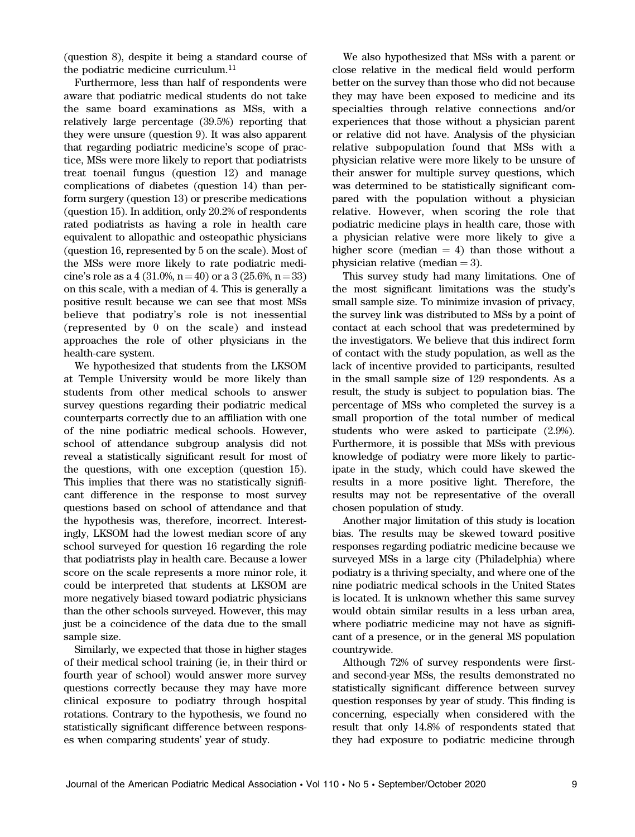(question 8), despite it being a standard course of the podiatric medicine curriculum.<sup>11</sup>

Furthermore, less than half of respondents were aware that podiatric medical students do not take the same board examinations as MSs, with a relatively large percentage (39.5%) reporting that they were unsure (question 9). It was also apparent that regarding podiatric medicine's scope of practice, MSs were more likely to report that podiatrists treat toenail fungus (question 12) and manage complications of diabetes (question 14) than perform surgery (question 13) or prescribe medications (question 15). In addition, only 20.2% of respondents rated podiatrists as having a role in health care equivalent to allopathic and osteopathic physicians (question 16, represented by 5 on the scale). Most of the MSs were more likely to rate podiatric medicine's role as a 4 (31.0%, n = 40) or a 3 (25.6%, n = 33) on this scale, with a median of 4. This is generally a positive result because we can see that most MSs believe that podiatry's role is not inessential (represented by 0 on the scale) and instead approaches the role of other physicians in the health-care system.

We hypothesized that students from the LKSOM at Temple University would be more likely than students from other medical schools to answer survey questions regarding their podiatric medical counterparts correctly due to an affiliation with one of the nine podiatric medical schools. However, school of attendance subgroup analysis did not reveal a statistically significant result for most of the questions, with one exception (question 15). This implies that there was no statistically significant difference in the response to most survey questions based on school of attendance and that the hypothesis was, therefore, incorrect. Interestingly, LKSOM had the lowest median score of any school surveyed for question 16 regarding the role that podiatrists play in health care. Because a lower score on the scale represents a more minor role, it could be interpreted that students at LKSOM are more negatively biased toward podiatric physicians than the other schools surveyed. However, this may just be a coincidence of the data due to the small sample size.

Similarly, we expected that those in higher stages of their medical school training (ie, in their third or fourth year of school) would answer more survey questions correctly because they may have more clinical exposure to podiatry through hospital rotations. Contrary to the hypothesis, we found no statistically significant difference between responses when comparing students' year of study.

We also hypothesized that MSs with a parent or close relative in the medical field would perform better on the survey than those who did not because they may have been exposed to medicine and its specialties through relative connections and/or experiences that those without a physician parent or relative did not have. Analysis of the physician relative subpopulation found that MSs with a physician relative were more likely to be unsure of their answer for multiple survey questions, which was determined to be statistically significant compared with the population without a physician relative. However, when scoring the role that podiatric medicine plays in health care, those with a physician relative were more likely to give a higher score (median  $= 4$ ) than those without a physician relative (median  $=$  3).

This survey study had many limitations. One of the most significant limitations was the study's small sample size. To minimize invasion of privacy, the survey link was distributed to MSs by a point of contact at each school that was predetermined by the investigators. We believe that this indirect form of contact with the study population, as well as the lack of incentive provided to participants, resulted in the small sample size of 129 respondents. As a result, the study is subject to population bias. The percentage of MSs who completed the survey is a small proportion of the total number of medical students who were asked to participate (2.9%). Furthermore, it is possible that MSs with previous knowledge of podiatry were more likely to participate in the study, which could have skewed the results in a more positive light. Therefore, the results may not be representative of the overall chosen population of study.

Another major limitation of this study is location bias. The results may be skewed toward positive responses regarding podiatric medicine because we surveyed MSs in a large city (Philadelphia) where podiatry is a thriving specialty, and where one of the nine podiatric medical schools in the United States is located. It is unknown whether this same survey would obtain similar results in a less urban area, where podiatric medicine may not have as significant of a presence, or in the general MS population countrywide.

Although 72% of survey respondents were firstand second-year MSs, the results demonstrated no statistically significant difference between survey question responses by year of study. This finding is concerning, especially when considered with the result that only 14.8% of respondents stated that they had exposure to podiatric medicine through